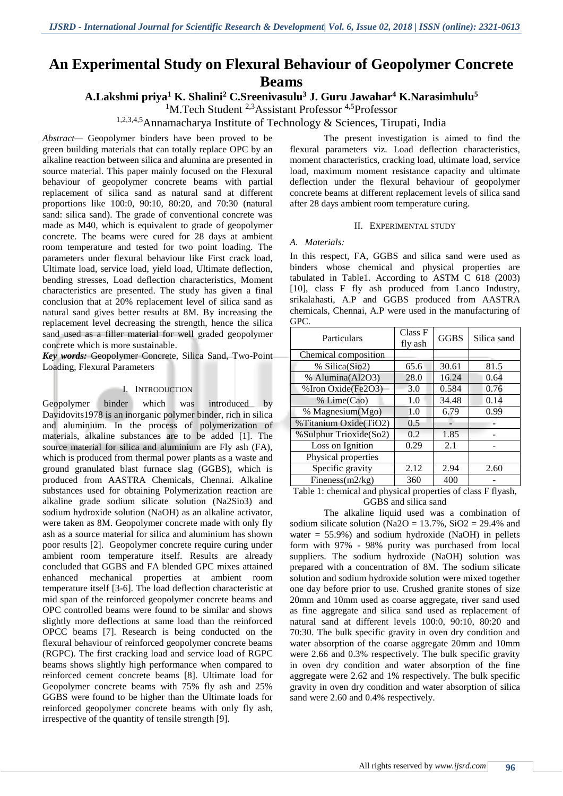# **An Experimental Study on Flexural Behaviour of Geopolymer Concrete Beams**

**A.Lakshmi priya<sup>1</sup> K. Shalini<sup>2</sup> C.Sreenivasulu<sup>3</sup> J. Guru Jawahar<sup>4</sup> K.Narasimhulu<sup>5</sup>**

<sup>1</sup>M.Tech Student <sup>2,3</sup>Assistant Professor <sup>4,5</sup>Professor

1,2,3,4,5Annamacharya Institute of Technology & Sciences, Tirupati, India

*Abstract—* Geopolymer binders have been proved to be green building materials that can totally replace OPC by an alkaline reaction between silica and alumina are presented in source material. This paper mainly focused on the Flexural behaviour of geopolymer concrete beams with partial replacement of silica sand as natural sand at different proportions like 100:0, 90:10, 80:20, and 70:30 (natural sand: silica sand). The grade of conventional concrete was made as M40, which is equivalent to grade of geopolymer concrete. The beams were cured for 28 days at ambient room temperature and tested for two point loading. The parameters under flexural behaviour like First crack load, Ultimate load, service load, yield load, Ultimate deflection, bending stresses, Load deflection characteristics, Moment characteristics are presented. The study has given a final conclusion that at 20% replacement level of silica sand as natural sand gives better results at 8M. By increasing the replacement level decreasing the strength, hence the silica sand used as a filler material for well graded geopolymer concrete which is more sustainable.

*Key words:* Geopolymer Concrete, Silica Sand, Two-Point Loading, Flexural Parameters

## I. INTRODUCTION

Geopolymer binder which was introduced by Davidovits1978 is an inorganic polymer binder, rich in silica and aluminium. In the process of polymerization of materials, alkaline substances are to be added [1]. The source material for silica and aluminium are Fly ash (FA), which is produced from thermal power plants as a waste and ground granulated blast furnace slag (GGBS), which is produced from AASTRA Chemicals, Chennai. Alkaline substances used for obtaining Polymerization reaction are alkaline grade sodium silicate solution (Na2Sio3) and sodium hydroxide solution (NaOH) as an alkaline activator, were taken as 8M. Geopolymer concrete made with only fly ash as a source material for silica and aluminium has shown poor results [2]. Geopolymer concrete require curing under ambient room temperature itself. Results are already concluded that GGBS and FA blended GPC mixes attained enhanced mechanical properties at ambient room temperature itself [3-6]. The load deflection characteristic at mid span of the reinforced geopolymer concrete beams and OPC controlled beams were found to be similar and shows slightly more deflections at same load than the reinforced OPCC beams [7]. Research is being conducted on the flexural behaviour of reinforced geopolymer concrete beams (RGPC). The first cracking load and service load of RGPC beams shows slightly high performance when compared to reinforced cement concrete beams [8]. Ultimate load for Geopolymer concrete beams with 75% fly ash and 25% GGBS were found to be higher than the Ultimate loads for reinforced geopolymer concrete beams with only fly ash, irrespective of the quantity of tensile strength [9].

The present investigation is aimed to find the flexural parameters viz. Load deflection characteristics, moment characteristics, cracking load, ultimate load, service load, maximum moment resistance capacity and ultimate deflection under the flexural behaviour of geopolymer concrete beams at different replacement levels of silica sand after 28 days ambient room temperature curing.

#### II. EXPERIMENTAL STUDY

#### *A. Materials:*

In this respect, FA, GGBS and silica sand were used as binders whose chemical and physical properties are tabulated in Table1. According to ASTM C 618 (2003) [10], class F fly ash produced from Lanco Industry, srikalahasti, A.P and GGBS produced from AASTRA chemicals, Chennai, A.P were used in the manufacturing of GPC.

| Particulars            | Class F<br>fly ash | <b>GGBS</b> | Silica sand |
|------------------------|--------------------|-------------|-------------|
| Chemical composition   |                    |             |             |
| % Silica(Sio2)         | 65.6               | 30.61       | 81.5        |
| % Alumina(Al2O3)       | 28.0               | 16.24       | 0.64        |
| % Iron Oxide(Fe2O3)    | 3.0                | 0.584       | 0.76        |
| % Lime(Cao)            | 1.0                | 34.48       | 0.14        |
| % Magnesium(Mgo)       | 1.0                | 6.79        | 0.99        |
| % Titanium Oxide(TiO2) | 0.5                |             |             |
| %Sulphur Trioxide(So2) | 0.2                | 1.85        |             |
| Loss on Ignition       | 0.29               | 2.1         |             |
| Physical properties    |                    |             |             |
| Specific gravity       | 2.12               | 2.94        | 2.60        |
| Fineness $(m2/kg)$     | 360                | 400         |             |

Table 1: chemical and physical properties of class F flyash, GGBS and silica sand

The alkaline liquid used was a combination of sodium silicate solution ( $Na2O = 13.7\%$ ,  $SiO2 = 29.4\%$  and water  $= 55.9\%$ ) and sodium hydroxide (NaOH) in pellets form with 97% - 98% purity was purchased from local suppliers. The sodium hydroxide (NaOH) solution was prepared with a concentration of 8M. The sodium silicate solution and sodium hydroxide solution were mixed together one day before prior to use. Crushed granite stones of size 20mm and 10mm used as coarse aggregate, river sand used as fine aggregate and silica sand used as replacement of natural sand at different levels 100:0, 90:10, 80:20 and 70:30. The bulk specific gravity in oven dry condition and water absorption of the coarse aggregate 20mm and 10mm were 2.66 and 0.3% respectively. The bulk specific gravity in oven dry condition and water absorption of the fine aggregate were 2.62 and 1% respectively. The bulk specific gravity in oven dry condition and water absorption of silica sand were 2.60 and 0.4% respectively.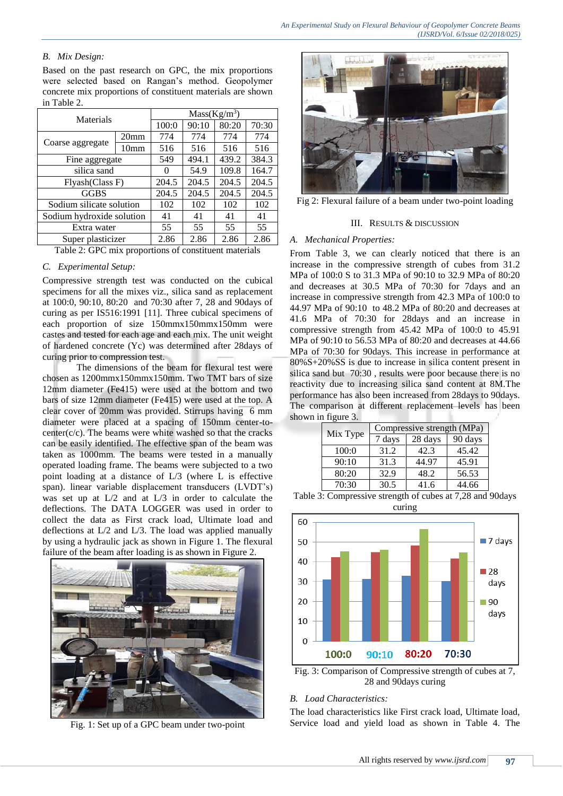# *B. Mix Design:*

Based on the past research on GPC, the mix proportions were selected based on Rangan's method. Geopolymer concrete mix proportions of constituent materials are shown in Table 2.

| Materials                                             |                  | $Mass(Kg/m^3)$ |       |       |       |
|-------------------------------------------------------|------------------|----------------|-------|-------|-------|
|                                                       |                  | 100:0          | 90:10 | 80:20 | 70:30 |
|                                                       | 20 <sub>mm</sub> | 774            | 774   | 774   | 774   |
| Coarse aggregate                                      | 10 <sub>mm</sub> | 516            | 516   | 516   | 516   |
| Fine aggregate                                        |                  | 549            | 494.1 | 439.2 | 384.3 |
| silica sand                                           |                  | $\Omega$       | 54.9  | 109.8 | 164.7 |
| Flyash(Class F)                                       |                  | 204.5          | 204.5 | 204.5 | 204.5 |
| <b>GGBS</b>                                           |                  | 204.5          | 204.5 | 204.5 | 204.5 |
| Sodium silicate solution                              |                  | 102            | 102   | 102   | 102   |
| Sodium hydroxide solution                             |                  | 41             | 41    | 41    | 41    |
| Extra water                                           |                  | 55             | 55    | 55    | 55    |
| Super plasticizer                                     |                  | 2.86           | 2.86  | 2.86  | 2.86  |
| Table 2: GPC mix proportions of constituent materials |                  |                |       |       |       |

# *C. Experimental Setup:*

Compressive strength test was conducted on the cubical specimens for all the mixes viz., silica sand as replacement at 100:0, 90:10, 80:20 and 70:30 after 7, 28 and 90days of curing as per IS516:1991 [11]. Three cubical specimens of each proportion of size 150mmx150mmx150mm were castes and tested for each age and each mix. The unit weight of hardened concrete (Yc) was determined after 28days of curing prior to compression test.

The dimensions of the beam for flexural test were chosen as 1200mmx150mmx150mm. Two TMT bars of size 12mm diameter (Fe415) were used at the bottom and two bars of size 12mm diameter (Fe415) were used at the top. A clear cover of 20mm was provided. Stirrups having 6 mm diameter were placed at a spacing of 150mm center-to $center(c/c)$ . The beams were white washed so that the cracks can be easily identified. The effective span of the beam was taken as 1000mm. The beams were tested in a manually operated loading frame. The beams were subjected to a two point loading at a distance of L/3 (where L is effective span). linear variable displacement transducers (LVDT's) was set up at L/2 and at L/3 in order to calculate the deflections. The DATA LOGGER was used in order to collect the data as First crack load, Ultimate load and deflections at L/2 and L/3. The load was applied manually by using a hydraulic jack as shown in Figure 1. The flexural failure of the beam after loading is as shown in Figure 2.



Fig. 1: Set up of a GPC beam under two-point



Fig 2: Flexural failure of a beam under two-point loading

## III. RESULTS & DISCUSSION

# *A. Mechanical Properties:*

From Table 3, we can clearly noticed that there is an increase in the compressive strength of cubes from 31.2 MPa of 100:0 S to 31.3 MPa of 90:10 to 32.9 MPa of 80:20 and decreases at 30.5 MPa of 70:30 for 7days and an increase in compressive strength from 42.3 MPa of 100:0 to 44.97 MPa of 90:10 to 48.2 MPa of 80:20 and decreases at 41.6 MPa of 70:30 for 28days and an increase in compressive strength from 45.42 MPa of 100:0 to 45.91 MPa of 90:10 to 56.53 MPa of 80:20 and decreases at 44.66 MPa of 70:30 for 90days. This increase in performance at 80%S+20%SS is due to increase in silica content present in silica sand but 70:30 , results were poor because there is no reactivity due to increasing silica sand content at 8M.The performance has also been increased from 28days to 90days. The comparison at different replacement levels has been shown in figure 3.

|          | Compressive strength (MPa) |         |         |
|----------|----------------------------|---------|---------|
| Mix Type | 7 days                     | 28 days | 90 days |
| 100:0    | 31.2                       | 42.3    | 45.42   |
| 90:10    | 31.3                       | 44.97   | 45.91   |
| 80:20    | 32.9                       | 48.2    | 56.53   |
| 70:30    | 30.5                       | 41.6    | 44.66   |





Fig. 3: Comparison of Compressive strength of cubes at 7, 28 and 90days curing

# *B. Load Characteristics:*

The load characteristics like First crack load, Ultimate load, Service load and yield load as shown in Table 4. The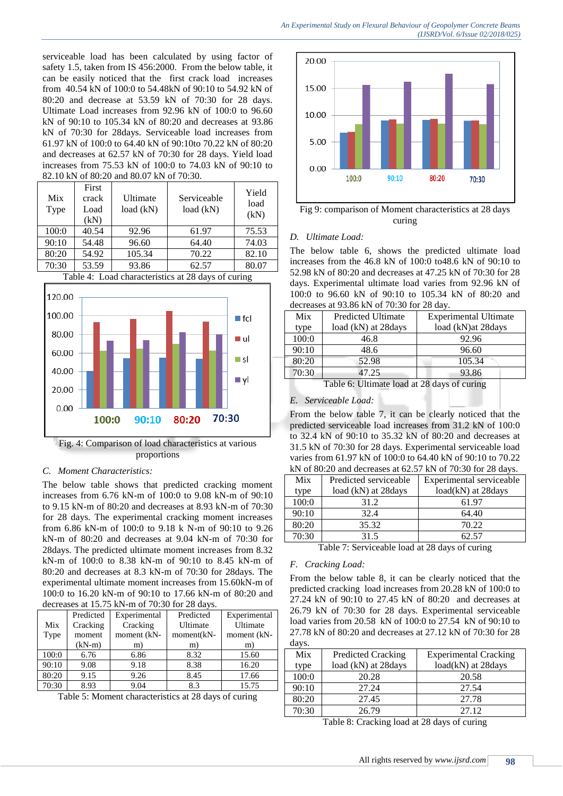*An Experimental Study on Flexural Behaviour of Geopolymer Concrete Beams (IJSRD/Vol. 6/Issue 02/2018/025)*

serviceable load has been calculated by using factor of safety 1.5, taken from IS 456:2000. From the below table, it can be easily noticed that the first crack load increases from 40.54 kN of 100:0 to 54.48kN of 90:10 to 54.92 kN of 80:20 and decrease at 53.59 kN of 70:30 for 28 days. Ultimate Load increases from 92.96 kN of 100:0 to 96.60 kN of 90:10 to 105.34 kN of 80:20 and decreases at 93.86 kN of 70:30 for 28days. Serviceable load increases from 61.97 kN of 100:0 to 64.40 kN of 90:10to 70.22 kN of 80:20 and decreases at 62.57 kN of 70:30 for 28 days. Yield load increases from 75.53 kN of 100:0 to 74.03 kN of 90:10 to 82.10 kN of 80:20 and 80.07 kN of 70:30.

| Mix<br>Type | First<br>crack<br>Load<br>(kN) | Ultimate<br>load (kN) | Serviceable<br>load (kN) | Yield<br>load<br>(kN) |
|-------------|--------------------------------|-----------------------|--------------------------|-----------------------|
| 100:0       | 40.54                          | 92.96                 | 61.97                    | 75.53                 |
| 90:10       | 54.48                          | 96.60                 | 64.40                    | 74.03                 |
| 80:20       | 54.92                          | 105.34                | 70.22                    | 82.10                 |
| 70:30       | 53.59                          | 93.86                 | 62.57                    | 80.07                 |





Fig. 4: Comparison of load characteristics at various proportions

## *C. Moment Characteristics:*

The below table shows that predicted cracking moment increases from 6.76 kN-m of 100:0 to 9.08 kN-m of 90:10 to 9.15 kN-m of 80:20 and decreases at 8.93 kN-m of 70:30 for 28 days. The experimental cracking moment increases from 6.86 kN-m of 100:0 to 9.18 k N-m of 90:10 to 9.26 kN-m of 80:20 and decreases at 9.04 kN-m of 70:30 for 28days. The predicted ultimate moment increases from 8.32 kN-m of 100:0 to 8.38 kN-m of 90:10 to 8.45 kN-m of 80:20 and decreases at 8.3 kN-m of 70:30 for 28days. The experimental ultimate moment increases from 15.60kN-m of 100:0 to 16.20 kN-m of 90:10 to 17.66 kN-m of 80:20 and decreases at 15.75 kN-m of 70:30 for 28 days.

|       | $\alpha$ and $\alpha$ and $\alpha$ is $\alpha$ and $\alpha$ in the set of $\alpha$ and $\alpha$ and $\alpha$ and $\alpha$ and $\alpha$ and $\alpha$ and $\alpha$ and $\alpha$ and $\alpha$ and $\alpha$ and $\alpha$ and $\alpha$ and $\alpha$ and $\alpha$ and $\alpha$ and $\alpha$ and $\alpha$ and $\alpha$ and $\alpha$ |              |            |              |  |
|-------|------------------------------------------------------------------------------------------------------------------------------------------------------------------------------------------------------------------------------------------------------------------------------------------------------------------------------|--------------|------------|--------------|--|
|       | Predicted                                                                                                                                                                                                                                                                                                                    | Experimental | Predicted  | Experimental |  |
| Mix   | Cracking                                                                                                                                                                                                                                                                                                                     | Cracking     | Ultimate   | Ultimate     |  |
| Type  | moment                                                                                                                                                                                                                                                                                                                       | moment (kN-  | moment(kN- | moment (kN-  |  |
|       | $(kN-m)$                                                                                                                                                                                                                                                                                                                     | m)           | m)         | m)           |  |
| 100:0 | 6.76                                                                                                                                                                                                                                                                                                                         | 6.86         | 8.32       | 15.60        |  |
| 90:10 | 9.08                                                                                                                                                                                                                                                                                                                         | 9.18         | 8.38       | 16.20        |  |
| 80:20 | 9.15                                                                                                                                                                                                                                                                                                                         | 9.26         | 8.45       | 17.66        |  |
| 70:30 | 8.93                                                                                                                                                                                                                                                                                                                         | 9.04         | 8.3        | 15.75        |  |

Table 5: Moment characteristics at 28 days of curing



Fig 9: comparison of Moment characteristics at 28 days curing

## *D. Ultimate Load:*

The below table 6, shows the predicted ultimate load increases from the 46.8 kN of 100:0 to48.6 kN of 90:10 to 52.98 kN of 80:20 and decreases at 47.25 kN of 70:30 for 28 days. Experimental ultimate load varies from 92.96 kN of 100:0 to 96.60 kN of 90:10 to 105.34 kN of 80:20 and decreases at 93.86 kN of 70:30 for 28 day.

| Mix   | <b>Predicted Ultimate</b>                     | <b>Experimental Ultimate</b> |  |  |
|-------|-----------------------------------------------|------------------------------|--|--|
| type  | load (kN) at 28days                           | load (kN)at 28days           |  |  |
| 100:0 | 46.8                                          | 92.96                        |  |  |
| 90:10 | 48.6                                          | 96.60                        |  |  |
| 80:20 | 52.98                                         | 105.34                       |  |  |
| 70:30 | 47.25                                         | 93.86                        |  |  |
|       | Table 6. Ultimate lead at $29$ days of appear |                              |  |  |

Table 6: Ultimate load at 28 days of curing

# *E. Serviceable Load:*

From the below table 7, it can be clearly noticed that the predicted serviceable load increases from 31.2 kN of 100:0 to 32.4 kN of 90:10 to 35.32 kN of 80:20 and decreases at 31.5 kN of 70:30 for 28 days. Experimental serviceable load varies from 61.97 kN of 100:0 to 64.40 kN of 90:10 to 70.22 kN of 80:20 and decreases at 62.57 kN of 70:30 for 28 days.

|       | $\mathbf{m}$ , or ools o and decreases at 02.5 / $\mathbf{m}$ , or 70.50 for 20 days. |                          |  |  |
|-------|---------------------------------------------------------------------------------------|--------------------------|--|--|
| Mix   | Predicted serviceable                                                                 | Experimental serviceable |  |  |
| type  | load (kN) at 28 days                                                                  | load(kN) at 28days       |  |  |
| 100:0 | 31.2                                                                                  | 61.97                    |  |  |
| 90:10 | 32.4                                                                                  | 64.40                    |  |  |
| 80:20 | 35.32                                                                                 | 70.22                    |  |  |
| 70:30 | 31.5                                                                                  | 62.57                    |  |  |
|       |                                                                                       |                          |  |  |

Table 7: Serviceable load at 28 days of curing

#### *F. Cracking Load:*

From the below table 8, it can be clearly noticed that the predicted cracking load increases from 20.28 kN of 100:0 to 27.24 kN of 90:10 to 27.45 kN of 80:20 and decreases at 26.79 kN of 70:30 for 28 days. Experimental serviceable load varies from 20.58 kN of 100:0 to 27.54 kN of 90:10 to 27.78 kN of 80:20 and decreases at 27.12 kN of 70:30 for 28 days.

| Mix   | <b>Predicted Cracking</b> | <b>Experimental Cracking</b> |
|-------|---------------------------|------------------------------|
| type  | load (kN) at 28days       | load(kN) at 28days           |
| 100:0 | 20.28                     | 20.58                        |
| 90:10 | 27.24                     | 27.54                        |
| 80:20 | 27.45                     | 27.78                        |
| 70:30 | 26.79                     | 27.12                        |

Table 8: Cracking load at 28 days of curing